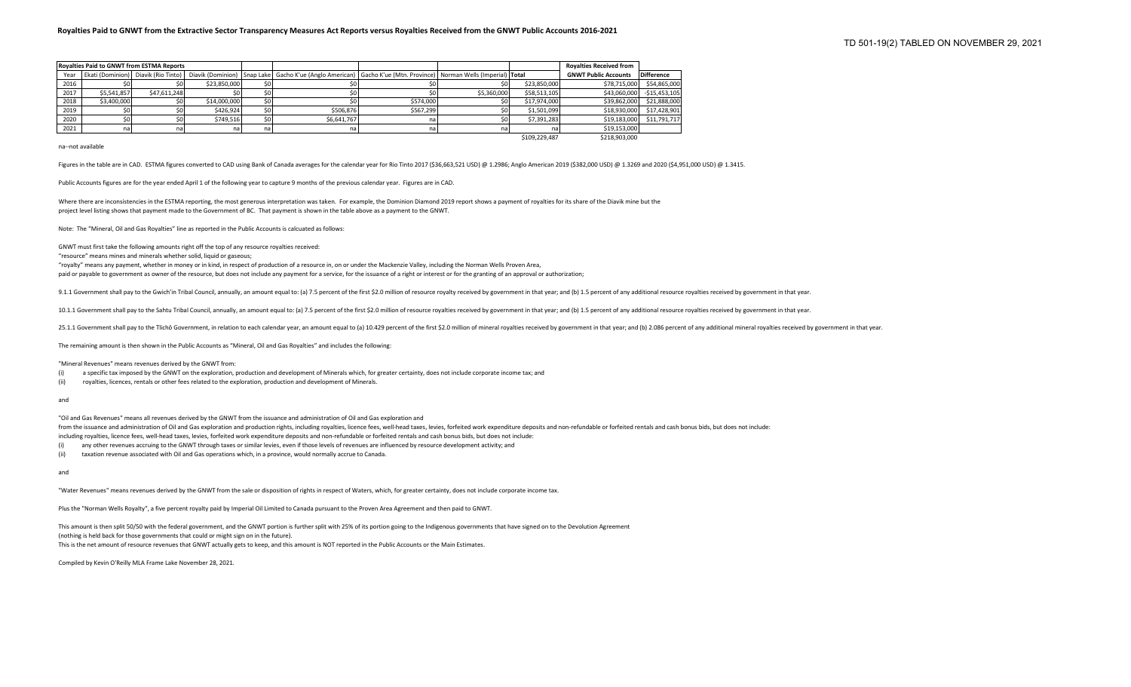|      |             | <b>Rovalties Paid to GNWT from ESTMA Reports</b> |              |                                                                                                                                                                    |           |             |               | <b>Rovalties Received from</b> |                   |
|------|-------------|--------------------------------------------------|--------------|--------------------------------------------------------------------------------------------------------------------------------------------------------------------|-----------|-------------|---------------|--------------------------------|-------------------|
| Year |             |                                                  |              | Ekati (Dominion)   Diavik (Rio Tinto)   Diavik (Dominion)   Snap Lake   Gacho K'ue (Anglo American)   Gacho K'ue (Mtn. Province)   Norman Wells (Imperial)   Total |           |             |               | <b>GNWT Public Accounts</b>    | <b>Difference</b> |
| 2016 |             |                                                  | \$23,850,000 |                                                                                                                                                                    |           |             | \$23,850,000  | \$78,715,000                   | \$54,865,000      |
| 2017 | \$5,541,857 | \$47,611,248                                     | so I         |                                                                                                                                                                    |           | \$5,360,000 | \$58,513,105  | \$43,060,000                   | $-$15,453,105$    |
| 2018 | \$3,400,000 |                                                  | \$14,000,000 |                                                                                                                                                                    | \$574,000 |             | \$17,974,000  | \$39,862,000                   | \$21,888,000      |
| 2019 |             |                                                  | \$426.924    | \$506.876                                                                                                                                                          | \$567.299 |             | \$1,501,099   | \$18,930,000                   | \$17,428,901      |
| 2020 |             |                                                  | \$749,516    | \$6,641,767                                                                                                                                                        | na        |             | \$7,391,283   | \$19,183,000                   | \$11,791,717      |
| 2021 | na          | na i                                             | nal          | na                                                                                                                                                                 | na        |             | na            | \$19,153,000                   |                   |
|      |             |                                                  |              |                                                                                                                                                                    |           |             | \$109,229,487 | \$218,903,000                  |                   |

na--not available

Figures in the table are in CAD. ESTMA figures converted to CAD using Bank of Canada averages for the calendar year for Rio Tinto 2017 (\$36,663,521 USD) @ 1.2986; Anglo American 2019 (\$382,000 USD) @ 1.3269 and 2020 (\$4,95

Public Accounts figures are for the year ended April 1 of the following year to capture 9 months of the previous calendar year. Figures are in CAD.

Where there are inconsistencies in the ESTMA reporting, the most generous interpretation was taken. For example, the Dominion Diamond 2019 report shows a payment of royalties for its share of the Diavik mine but the project level listing shows that payment made to the Government of BC. That payment is shown in the table above as a payment to the GNWT.

Note: The "Mineral, Oil and Gas Royalties" line as reported in the Public Accounts is calcuated as follows:

GNWT must first take the following amounts right off the top of any resource royalties received:

"resource" means mines and minerals whether solid, liquid or gaseous;

"royalty" means any payment, whether in money or in kind, in respect of production of a resource in, on or under the Mackenzie Valley, including the Norman Wells Proven Area, paid or payable to government as owner of the resource, but does not include any payment for a service, for the issuance of a right or interest or for the granting of an approval or authorization;

9.1.1 Government shall pay to the Gwich'in Tribal Council, annually, an amount equal to: (a) 7.5 percent of the first \$2.0 million of resource royalty received by government in that year; and (b) 1.5 percent of any additio

10.1.1 Government shall pay to the Sahtu Tribal Council, annually, an amount equal to: (a) 7.5 percent of the first \$2.0 million of resource royalties received by government in that year; and (b) 1.5 percent of any additio

25.1.1 Government shall pay to the Tlichô Government, in relation to each calendar year, an amount equal to (a) 10.429 percent of the first \$2.0 million of mineral royalties received by government in that year, and of mine

The remaining amount is then shown in the Public Accounts as "Mineral, Oil and Gas Royalties" and includes the following:

"Mineral Revenues" means revenues derived by the GNWT from:

(i) a specific tax imposed by the GNWT on the exploration, production and development of Minerals which, for greater certainty, does not include corporate income tax; and

(ii) royalties, licences, rentals or other fees related to the exploration, production and development of Minerals.

and

"Oil and Gas Revenues" means all revenues derived by the GNWT from the issuance and administration of Oil and Gas exploration and from the issuance and administration of Oil and Gas exploration and production rights, including royalties, licence fees, well-head taxes, levies, forfeited work expenditure deposits and non-refundable or forfeited rentals including royalties, licence fees, well-head taxes, levies, forfeited work expenditure deposits and non-refundable or forfeited rentals and cash bonus bids, but does not include:

(i) any other revenues accruing to the GNWT through taxes or similar levies, even if those levels of revenues are influenced by resource development activity; and

(ii) taxation revenue associated with Oil and Gas operations which, in a province, would normally accrue to Canada.

and

"Water Revenues" means revenues derived by the GNWT from the sale or disposition of rights in respect of Waters, which, for greater certainty, does not include corporate income tax.

Plus the "Norman Wells Royalty", a five percent royalty paid by Imperial Oil Limited to Canada pursuant to the Proven Area Agreement and then paid to GNWT.

This amount is then split 50/50 with the federal government, and the GNWT portion is further split with 25% of its portion going to the Indigenous governments that have signed on to the Devolution Agreement (nothing is held back for those governments that could or might sign on in the future). This is the net amount of resource revenues that GNWT actually gets to keep, and this amount is NOT reported in the Public Accounts or the Main Estimates.

Compiled by Kevin O'Reilly MLA Frame Lake November 28, 2021.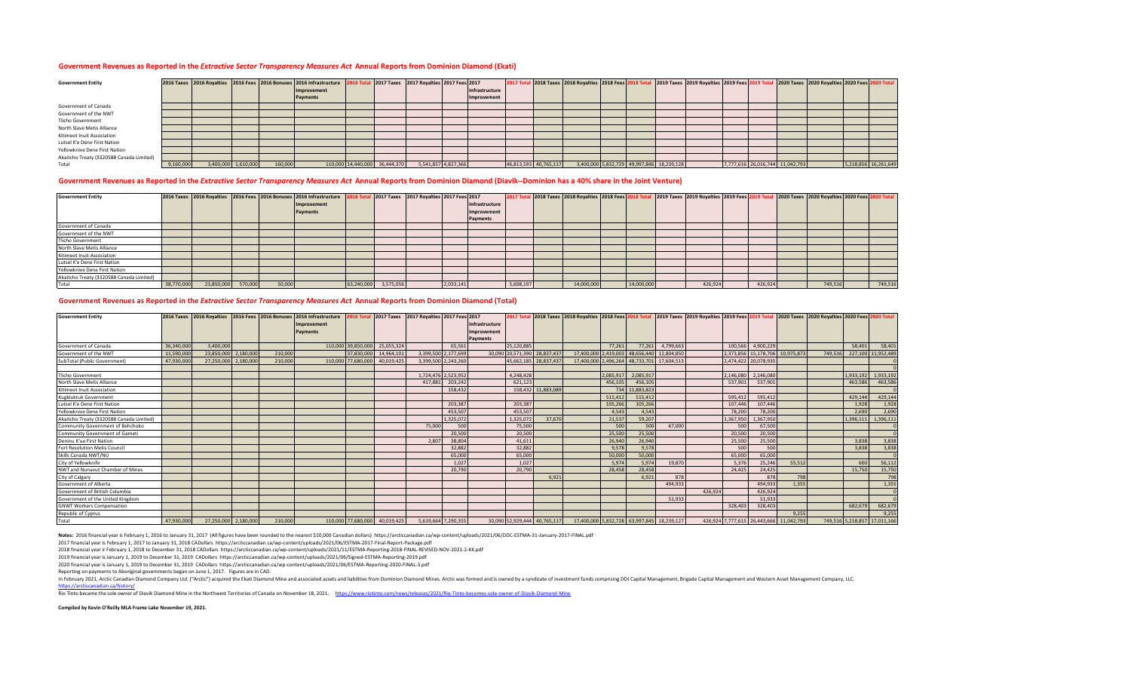#### **Government Revenues as Reported in the** *Extractive Sector Transparency Measures Act* **Annual Reports from Dominion Diamond (Ekati)**

| <b>Government Entity</b>                 |           |                     |         | 2016 Taxes 2016 Royalties 2016 Fees 2016 Bonuses 2016 Infrastructure 2016 Total 2017 Taxes 2017 Royalties 2017 Fees 2017 |                               |                     |                |                       | 2017 Total 2018 Taxes 2018 Royalties 2018 Fees 2018 Total 2019 Taxes 2019 Royalties 2019 Fees 2019 |  |                                           |  |                                 | 2020 Taxes 2020 Royalties 2020 Fees 2020 Total |                      |
|------------------------------------------|-----------|---------------------|---------|--------------------------------------------------------------------------------------------------------------------------|-------------------------------|---------------------|----------------|-----------------------|----------------------------------------------------------------------------------------------------|--|-------------------------------------------|--|---------------------------------|------------------------------------------------|----------------------|
|                                          |           |                     |         | Improvement                                                                                                              |                               |                     | Infrastructure |                       |                                                                                                    |  |                                           |  |                                 |                                                |                      |
|                                          |           |                     |         | Payments                                                                                                                 |                               |                     | Improvement    |                       |                                                                                                    |  |                                           |  |                                 |                                                |                      |
| Government of Canada                     |           |                     |         |                                                                                                                          |                               |                     |                |                       |                                                                                                    |  |                                           |  |                                 |                                                |                      |
| Government of the NWT                    |           |                     |         |                                                                                                                          |                               |                     |                |                       |                                                                                                    |  |                                           |  |                                 |                                                |                      |
| <b>Tlicho Government</b>                 |           |                     |         |                                                                                                                          |                               |                     |                |                       |                                                                                                    |  |                                           |  |                                 |                                                |                      |
| North Slave Metis Alliance               |           |                     |         |                                                                                                                          |                               |                     |                |                       |                                                                                                    |  |                                           |  |                                 |                                                |                      |
| Kitimeot Inuit Association               |           |                     |         |                                                                                                                          |                               |                     |                |                       |                                                                                                    |  |                                           |  |                                 |                                                |                      |
| Lutsel K'e Dene First Nation             |           |                     |         |                                                                                                                          |                               |                     |                |                       |                                                                                                    |  |                                           |  |                                 |                                                |                      |
| Yellowknive Dene First Nation            |           |                     |         |                                                                                                                          |                               |                     |                |                       |                                                                                                    |  |                                           |  |                                 |                                                |                      |
| Akaitcho Treaty (3320588 Canada Limited) |           |                     |         |                                                                                                                          |                               |                     |                |                       |                                                                                                    |  |                                           |  |                                 |                                                |                      |
| Total                                    | 9,160,000 | 3,400,000 1,610,000 | 160,000 |                                                                                                                          | 110,000 14,440,000 36,444,370 | 5,541,857 4,827,366 |                | 46,813,593 40,765,117 |                                                                                                    |  | 3,400,000 5,832,729 49,997,846 18,239,128 |  | 7,777,616 26,016,744 11,042,793 |                                                | 5,218,856 16,261,649 |

#### **Government Revenues as Reported in the** *Extractive Sector Transparency Measures Act* **Annual Reports from Dominion Diamond (Diavik--Dominion has a 40% share in the Joint Venture)**

| <b>Government Entity</b>                 |            |            |         |        | 2016 Taxes 2016 Royalties 2016 Fees 2016 Bonuses 2016 Infrastructure 2016 Total 2017 Taxes 2017 Royalties 2017 Fees 2017 |            |           |           |                |           |            |            |         |         | 2017 Total 2018 Taxes 2018 Royalties 2018 Fees 2018 Total 2019 Taxes 2019 Royalties 2019 Fees 2019 Total 2020 Taxes 2020 Royalties 2020 Fees 2020 Fees 2020 Fees 2020 Fees 2020 Fees 2020 |         |
|------------------------------------------|------------|------------|---------|--------|--------------------------------------------------------------------------------------------------------------------------|------------|-----------|-----------|----------------|-----------|------------|------------|---------|---------|-------------------------------------------------------------------------------------------------------------------------------------------------------------------------------------------|---------|
|                                          |            |            |         |        | Improvement                                                                                                              |            |           |           | Infrastructure |           |            |            |         |         |                                                                                                                                                                                           |         |
|                                          |            |            |         |        | Payments                                                                                                                 |            |           |           | Improvement    |           |            |            |         |         |                                                                                                                                                                                           |         |
|                                          |            |            |         |        |                                                                                                                          |            |           |           | Payments       |           |            |            |         |         |                                                                                                                                                                                           |         |
| Government of Canada                     |            |            |         |        |                                                                                                                          |            |           |           |                |           |            |            |         |         |                                                                                                                                                                                           |         |
| Government of the NWT                    |            |            |         |        |                                                                                                                          |            |           |           |                |           |            |            |         |         |                                                                                                                                                                                           |         |
| <b>Tlicho Government</b>                 |            |            |         |        |                                                                                                                          |            |           |           |                |           |            |            |         |         |                                                                                                                                                                                           |         |
| North Slave Metis Alliance               |            |            |         |        |                                                                                                                          |            |           |           |                |           |            |            |         |         |                                                                                                                                                                                           |         |
| Kitimeot Inuit Association               |            |            |         |        |                                                                                                                          |            |           |           |                |           |            |            |         |         |                                                                                                                                                                                           |         |
| Lutsel K'e Dene First Nation             |            |            |         |        |                                                                                                                          |            |           |           |                |           |            |            |         |         |                                                                                                                                                                                           |         |
| Yellowknive Dene First Nation            |            |            |         |        |                                                                                                                          |            |           |           |                |           |            |            |         |         |                                                                                                                                                                                           |         |
| Akaitcho Treaty (3320588 Canada Limited) |            |            |         |        |                                                                                                                          |            |           |           |                |           |            |            |         |         |                                                                                                                                                                                           |         |
| Total                                    | 38,770,000 | 23,850,000 | 570,000 | 50,000 |                                                                                                                          | 63,240,000 | 3,575,056 | 2,033,141 |                | 5,608,197 | 14,000,000 | 14,000,000 | 426,924 | 426,924 | 749,516                                                                                                                                                                                   | 749,516 |

#### **Government Revenues as Reported in the** *Extractive Sector Transparency Measures Act* **Annual Reports from Dominion Diamond (Total)**

| <b>Government Entity</b>                 |            |                      |           |         | 2016 Taxes 2016 Royalties 2016 Fees 2016 Bonuses 2016 Infrastructure |                    |                               | 2016 Total 2017 Taxes 2017 Royalties 2017 Fees 2017 |           |                |            |                              | 2017 Total 2018 Taxes 2018 Royalties 2018 Fees 2018 Total 2019 Taxes 2019 Royalties 2019 Fees 2019 Total 2020 Taxes 2020 Royalties 2020 Fees 2020 Total |           |                                            |           |         |           |                                         |        |         |         |                              |
|------------------------------------------|------------|----------------------|-----------|---------|----------------------------------------------------------------------|--------------------|-------------------------------|-----------------------------------------------------|-----------|----------------|------------|------------------------------|---------------------------------------------------------------------------------------------------------------------------------------------------------|-----------|--------------------------------------------|-----------|---------|-----------|-----------------------------------------|--------|---------|---------|------------------------------|
|                                          |            |                      |           |         | Improvement                                                          |                    |                               |                                                     |           | Infrastructure |            |                              |                                                                                                                                                         |           |                                            |           |         |           |                                         |        |         |         |                              |
|                                          |            |                      |           |         | Payments                                                             |                    |                               |                                                     |           | Improvement    |            |                              |                                                                                                                                                         |           |                                            |           |         |           |                                         |        |         |         |                              |
|                                          |            |                      |           |         |                                                                      |                    |                               |                                                     |           | Payments       |            |                              |                                                                                                                                                         |           |                                            |           |         |           |                                         |        |         |         |                              |
| Government of Canada                     | 36,340,000 | 3.400.000            |           |         |                                                                      | 110,000 39,850,000 | 25,055,324                    |                                                     | 65,561    |                | 25.120.885 |                              |                                                                                                                                                         | 77.261    | 77,261                                     | 4,799,663 |         | 100,566   | 4,900,229                               |        |         | 58,401  | 58,401                       |
| Government of the NWT                    | 11,590,000 | 23.850.000           | 2,180,000 | 210,000 |                                                                      | 37,830,000         | 14,964,101                    | 3,399,500 2,177,699                                 |           |                |            | 30,090 20,571,390 28,837,437 |                                                                                                                                                         |           | 17,400,000 2,419,003 48,656,440 12,804,850 |           |         |           | 2,373,856 15,178,706 10,975,873         |        | 749.516 |         | 227,100 11,952,489           |
| SubTotal (Public Government)             | 47.930.000 | 27,250,000 2,180,000 |           | 210,000 |                                                                      | 110,000 77,680,000 | 40,019,425                    | 3,399,500 2,243,260                                 |           |                |            | 45,662,185 28,837,437        |                                                                                                                                                         |           | 17,400,000 2,496,264 48,733,701 17,604,513 |           |         |           | 2,474,422 20,078,935                    |        |         |         |                              |
|                                          |            |                      |           |         |                                                                      |                    |                               |                                                     |           |                |            |                              |                                                                                                                                                         |           |                                            |           |         |           |                                         |        |         |         |                              |
| <b>Tlicho Government</b>                 |            |                      |           |         |                                                                      |                    |                               | 1.724.476 2.523.952                                 |           |                | 4.248.428  |                              |                                                                                                                                                         | 2.085.917 | 2.085.917                                  |           |         | 2.146.080 | 2.146.080                               |        |         |         | 1,933,192 1,933,192          |
| North Slave Metis Alliance               |            |                      |           |         |                                                                      |                    |                               | 417.881                                             | 203,242   |                | 621.123    |                              |                                                                                                                                                         | 456.105   | 456.105                                    |           |         | 537.901   | 537,901                                 |        |         | 463.586 | 463,586                      |
| Kitimeot Inuit Association               |            |                      |           |         |                                                                      |                    |                               |                                                     | 158,432   |                |            | 158,432 11,883,089           |                                                                                                                                                         |           | 734 11.883.823                             |           |         |           |                                         |        |         |         |                              |
| Kugkluktuk Government                    |            |                      |           |         |                                                                      |                    |                               |                                                     |           |                |            |                              |                                                                                                                                                         | 515,412   | 515.412                                    |           |         | 595,412   | 595,412                                 |        |         | 429.144 | 429,144                      |
| Lutsel K'e Dene First Nation             |            |                      |           |         |                                                                      |                    |                               |                                                     | 203,387   |                | 203,387    |                              |                                                                                                                                                         | 105.266   | 105,266                                    |           |         | 107,446   | 107.446                                 |        |         | 1.928   | 1,928                        |
| Yellowknive Dene First Nation            |            |                      |           |         |                                                                      |                    |                               |                                                     | 453.507   |                | 453.507    |                              |                                                                                                                                                         | 4.543     | 4.543                                      |           |         | 78,200    | 78,200                                  |        |         | 2.690   | 2,690                        |
| Akaitcho Treaty (3320588 Canada Limited) |            |                      |           |         |                                                                      |                    |                               |                                                     | 1,325,072 |                | 1,325,072  | 37.670                       |                                                                                                                                                         | 21,537    | 59,207                                     |           |         | 1,367,950 | 1,367,950                               |        |         |         | 1,396,111 1,396,111          |
| Community Government of Behchoko         |            |                      |           |         |                                                                      |                    |                               | 75,000                                              | 500       |                | 75,500     |                              |                                                                                                                                                         | 500       | 500                                        | 67,000    |         | 500       | 67,500                                  |        |         |         |                              |
| Community Government of Gameti           |            |                      |           |         |                                                                      |                    |                               |                                                     | 20,500    |                | 20,500     |                              |                                                                                                                                                         | 25,500    | 25,500                                     |           |         | 20,500    | 20,500                                  |        |         |         |                              |
| Deninu K'ue First Nation                 |            |                      |           |         |                                                                      |                    |                               | 2.807                                               | 38,804    |                | 41.611     |                              |                                                                                                                                                         | 26,940    | 26,940                                     |           |         | 25,500    | 25,500                                  |        |         | 3,838   | 3,838                        |
| Fort Resolution Metis Council            |            |                      |           |         |                                                                      |                    |                               |                                                     | 32,882    |                | 32,882     |                              |                                                                                                                                                         | 9,578     | 9,578                                      |           |         | 500       | 500                                     |        |         | 3,838   | 3,838                        |
| Skills Canada NWT/NU                     |            |                      |           |         |                                                                      |                    |                               |                                                     | 65,000    |                | 65,000     |                              |                                                                                                                                                         | 50,000    | 50,000                                     |           |         | 65,000    | 65,000                                  |        |         |         |                              |
| City of Yellowknife                      |            |                      |           |         |                                                                      |                    |                               |                                                     | 1.027     |                | 1.027      |                              |                                                                                                                                                         | 5.974     | 5,974                                      | 19,870    |         | 5,376     | 25,246                                  | 55,512 |         | 600     | 56,112                       |
| NWT and Nunavut Chamber of Mines         |            |                      |           |         |                                                                      |                    |                               |                                                     | 20,790    |                | 20,790     |                              |                                                                                                                                                         | 28,458    | 28,458                                     |           |         | 24,425    | 24,425                                  |        |         | 15,750  | 15,750                       |
| City of Calgary                          |            |                      |           |         |                                                                      |                    |                               |                                                     |           |                |            | 6.921                        |                                                                                                                                                         |           | 6.921                                      | 878       |         |           | 878                                     | 798    |         |         | 798                          |
| Government of Alberta                    |            |                      |           |         |                                                                      |                    |                               |                                                     |           |                |            |                              |                                                                                                                                                         |           |                                            | 494.933   |         |           | 494.933                                 | 1.355  |         |         | 1,355                        |
| Government of British Columbia           |            |                      |           |         |                                                                      |                    |                               |                                                     |           |                |            |                              |                                                                                                                                                         |           |                                            |           | 426.924 |           | 426.924                                 |        |         |         |                              |
| Government of the United Kingdom         |            |                      |           |         |                                                                      |                    |                               |                                                     |           |                |            |                              |                                                                                                                                                         |           |                                            | 51.933    |         |           | 51.933                                  |        |         |         |                              |
| <b>GNWT Workers Compensation</b>         |            |                      |           |         |                                                                      |                    |                               |                                                     |           |                |            |                              |                                                                                                                                                         |           |                                            |           |         | 328,403   | 328,403                                 |        |         | 682.679 | 682,679                      |
| Republic of Cyprus                       |            |                      |           |         |                                                                      |                    |                               |                                                     |           |                |            |                              |                                                                                                                                                         |           |                                            |           |         |           |                                         | 9.255  |         |         | 9,255                        |
| Total                                    | 47,930,000 | 27,250,000 2,180,000 |           | 210,000 |                                                                      |                    | 110,000 77,680,000 40,019,425 | 5,619,664 7,290,355                                 |           |                |            | 30,090 52,929,444 40,765,117 | 17,400,000 5,832,728 63,997,845 18,239,127                                                                                                              |           |                                            |           |         |           | 426,924 7,777,615 26,443,666 11,042,793 |        |         |         | 749,516 5,218,857 17,011,166 |

Notes: 2016 financial year is February 1, 2016 to January 31, 2017 (All figures have been rounded to the nearest \$10,000 Canadian dollars) https://arcticcanadian.ca/wp-content/uploads/2021/06/DDC-ESTMA-31-January-2017-FINA

2017 financial year is February 1, 2017 to January 31, 2018 CADollars https://arcticcanadian.ca/wp-content/uploads/2021/06/ESTMA-2017-Final-Report-Package.pdf

2018 financial year ir February 1, 2018 to December 31, 2018 CADollars https://arcticcanadian.ca/wp-content/uploads/2021/11/ESTMA-Reporting-2018-FINAL-REVISED-NOV-2021-2-KK.pdf

2019 financial year is January 1, 2019 to December 31, 2019 CADollars https://arcticcanadian.ca/wp-content/uploads/2021/06/Signed-ESTMA-Reporting-2019.pdf

2020 financial year is January 1, 2019 to December 31, 2019 CADollars https://arcticcanadian.ca/wp-content/uploads/2021/06/ESTMA-Reporting-2020-FINAL-3.pdf

Reporting on payments to Aboriginal governments began on June 1, 2017. Figures are in CAD.

In February 2021, Arctic Canadian Diamond Company Ltd. ("Arctic") acquired the Ekati Diamond Mine and associated assets and liabilities from Dominion Diamond Mines. Arctic was formed and is owned by a syndicate of investme

<https://arcticcanadian.ca/history/><br>Rio Tinto became the sole owner of Diavik Diamond Mine in the Northwest Territories of Canada on November 18, 2021. https://www.riotinto.com/news/releases/2021/Rio-Tinto-becomes-sole-owne

**Compiled by Kevin O'Reilly MLA Frame Lake November 19, 2021.**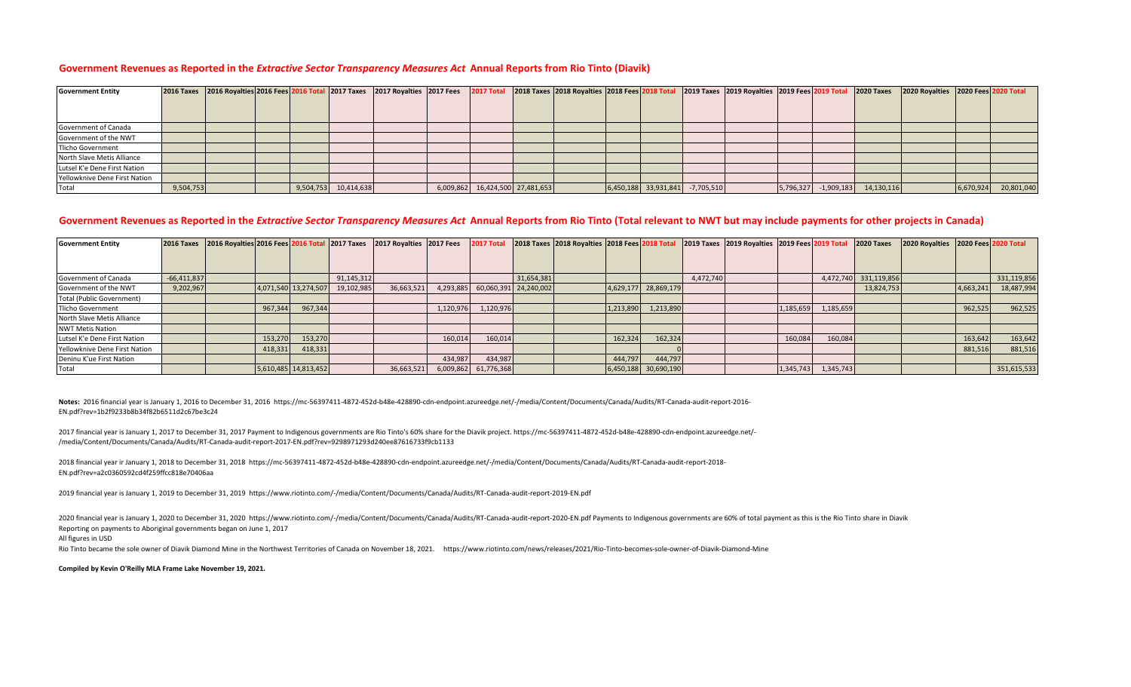### **Government Revenues as Reported in the** *Extractive Sector Transparency Measures Act* **Annual Reports from Rio Tinto (Diavik)**

| <b>Government Entity</b>      |           |  |                      | 2016 Taxes 2016 Royalties 2016 Fees 2016 Total 2017 Taxes 2017 Royalties 2017 Fees | <b>2017 Total</b>               |  |                        |              | 2018 Taxes 2018 Royalties 2018 Fees 2018 Total 2019 Taxes 2019 Royalties 2019 Fees 2019 Total 2020 Taxes |           |              |            | 2020 Royalties 2020 Fees 2020 Total |           |            |
|-------------------------------|-----------|--|----------------------|------------------------------------------------------------------------------------|---------------------------------|--|------------------------|--------------|----------------------------------------------------------------------------------------------------------|-----------|--------------|------------|-------------------------------------|-----------|------------|
|                               |           |  |                      |                                                                                    |                                 |  |                        |              |                                                                                                          |           |              |            |                                     |           |            |
|                               |           |  |                      |                                                                                    |                                 |  |                        |              |                                                                                                          |           |              |            |                                     |           |            |
| Government of Canada          |           |  |                      |                                                                                    |                                 |  |                        |              |                                                                                                          |           |              |            |                                     |           |            |
| Government of the NWT         |           |  |                      |                                                                                    |                                 |  |                        |              |                                                                                                          |           |              |            |                                     |           |            |
| <b>Tlicho Government</b>      |           |  |                      |                                                                                    |                                 |  |                        |              |                                                                                                          |           |              |            |                                     |           |            |
| North Slave Metis Alliance    |           |  |                      |                                                                                    |                                 |  |                        |              |                                                                                                          |           |              |            |                                     |           |            |
| Lutsel K'e Dene First Nation  |           |  |                      |                                                                                    |                                 |  |                        |              |                                                                                                          |           |              |            |                                     |           |            |
| Yellowknive Dene First Nation |           |  |                      |                                                                                    |                                 |  |                        |              |                                                                                                          |           |              |            |                                     |           |            |
| Total                         | 9,504,753 |  | 9,504,753 10,414,638 |                                                                                    | 6,009,862 16,424,500 27,481,653 |  | $6,450,188$ 33,931,841 | $-7,705,510$ |                                                                                                          | 5,796,327 | $-1,909,183$ | 14,130,116 |                                     | 6,670,924 | 20,801,040 |

## Government Revenues as Reported in the *Extractive Sector Transparency Measures Act* Annual Reports from Rio Tinto (Total relevant to NWT but may include payments for other projects in Canada)

| <b>Government Entity</b>      | <b>2016 Taxes</b> | 2016 Royalties 2016 Fees 2016 Total 2017 Taxes |         |                      |            | 2017 Royalties 2017 Fees |           | 2017 Total                      |            | 2018 Taxes 2018 Royalties 2018 Fees 2018 Total |           |                      |           | 2019 Taxes 2019 Royalties 2019 Fees 2019 Total |           |           | <b>2020 Taxes</b>     | 2020 Royalties |           | 2020 Fees 2020 Total |
|-------------------------------|-------------------|------------------------------------------------|---------|----------------------|------------|--------------------------|-----------|---------------------------------|------------|------------------------------------------------|-----------|----------------------|-----------|------------------------------------------------|-----------|-----------|-----------------------|----------------|-----------|----------------------|
|                               |                   |                                                |         |                      |            |                          |           |                                 |            |                                                |           |                      |           |                                                |           |           |                       |                |           |                      |
|                               |                   |                                                |         |                      |            |                          |           |                                 |            |                                                |           |                      |           |                                                |           |           |                       |                |           |                      |
| Government of Canada          | $-66,411,837$     |                                                |         |                      | 91,145,312 |                          |           |                                 | 31,654,381 |                                                |           |                      | 4,472,740 |                                                |           |           | 4,472,740 331,119,856 |                |           | 331,119,856          |
| Government of the NWT         | 9,202,967         |                                                |         | 4,071,540 13,274,507 | 19,102,985 | 36,663,521               |           | 4,293,885 60,060,391 24,240,002 |            |                                                |           | 4,629,177 28,869,179 |           |                                                |           |           | 13,824,753            |                | 4,663,241 | 18,487,994           |
| Total (Public Government)     |                   |                                                |         |                      |            |                          |           |                                 |            |                                                |           |                      |           |                                                |           |           |                       |                |           |                      |
| <b>Tlicho Government</b>      |                   |                                                | 967,344 | 967,344              |            |                          | 1,120,976 | 1,120,976                       |            |                                                | 1,213,890 | 1,213,890            |           |                                                | 1,185,659 | 1,185,659 |                       |                | 962,525   | 962,525              |
| North Slave Metis Alliance    |                   |                                                |         |                      |            |                          |           |                                 |            |                                                |           |                      |           |                                                |           |           |                       |                |           |                      |
| <b>NWT Metis Nation</b>       |                   |                                                |         |                      |            |                          |           |                                 |            |                                                |           |                      |           |                                                |           |           |                       |                |           |                      |
| Lutsel K'e Dene First Nation  |                   |                                                | 153,270 | 153,270              |            |                          | 160,014   | 160,014                         |            |                                                | 162,324   | 162,324              |           |                                                | 160,084   | 160,084   |                       |                | 163,642   | 163,642              |
| Yellowknive Dene First Nation |                   |                                                | 418,331 | 418,331              |            |                          |           |                                 |            |                                                |           |                      |           |                                                |           |           |                       |                | 881,516   | 881,516              |
| Deninu K'ue First Nation      |                   |                                                |         |                      |            |                          | 434,987   | 434,987                         |            |                                                | 444,797   | 444,797              |           |                                                |           |           |                       |                |           |                      |
| Total                         |                   |                                                |         | 5,610,485 14,813,452 |            | 36,663,521               | 6,009,862 | 61,776,368                      |            |                                                |           | 6,450,188 30,690,190 |           |                                                | 1,345,743 | 1,345,743 |                       |                |           | 351,615,533          |

**Notes:** 2016 financial year is January 1, 2016 to December 31, 2016 https://mc-56397411-4872-452d-b48e-428890-cdn-endpoint.azureedge.net/-/media/Content/Documents/Canada/Audits/RT-Canada-audit-report-2016- EN.pdf?rev=1b2f9233b8b34f82b6511d2c67be3c24

2017 financial year is January 1, 2017 to December 31, 2017 Payment to Indigenous governments are Rio Tinto's 60% share for the Diavik project. https://mc-56397411-4872-452d-b48e-428890-cdn-endpoint.azureedge.net/- /media/Content/Documents/Canada/Audits/RT-Canada-audit-report-2017-EN.pdf?rev=9298971293d240ee87616733f9cb1133

2018 financial year ir January 1, 2018 to December 31, 2018 https://mc-56397411-4872-452d-b48e-428890-cdn-endpoint.azureedge.net/-/media/Content/Documents/Canada/Audits/RT-Canada-audit-report-2018- EN.pdf?rev=a2c0360592cd4f259ffcc818e70406aa

2019 financial year is January 1, 2019 to December 31, 2019 https://www.riotinto.com/-/media/Content/Documents/Canada/Audits/RT-Canada-audit-report-2019-EN.pdf

Reporting on payments to Aboriginal governments began on June 1, 2017 2020 to a beem to a beem the stanuary 1, 2020 to December 31, 2020 https://www.riotinto.com/-/media/Content/Documents/Canada/Audits/RT-Canada-audit-report-2020-EN.pdf Payments to Indigenous governments are 60% of total pay

All figures in USD

Rio Tinto became the sole owner of Diavik Diamond Mine in the Northwest Territories of Canada on November 18, 2021. https://www.riotinto.com/news/releases/2021/Rio-Tinto-becomes-sole-owner-of-Diavik-Diamond-Mine

**Compiled by Kevin O'Reilly MLA Frame Lake November 19, 2021.**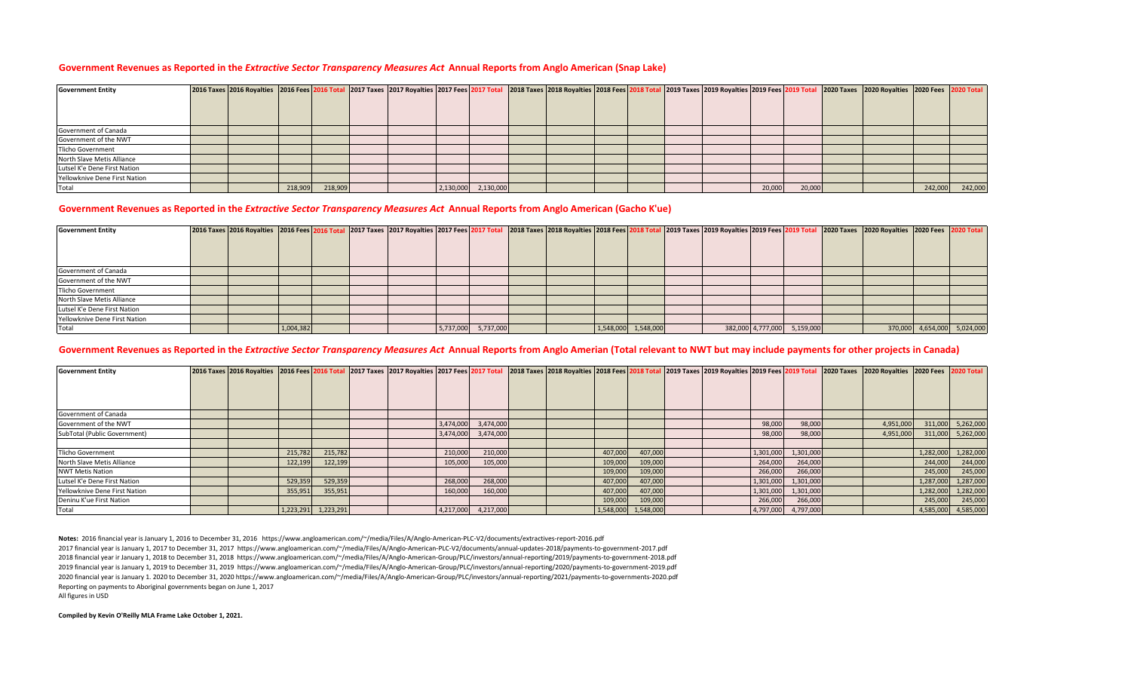#### **Government Revenues as Reported in the** *Extractive Sector Transparency Measures Act* **Annual Reports from Anglo American (Snap Lake)**

| <b>Government Entity</b>      | 2016 Taxes 2016 Royalties 2016 Fees 2016 Total 2017 Taxes 2017 Royalties 2017 Fees 2017 Total |         |         |  |                     | 2018 Taxes 2018 Royalties 2018 Fees 2018 Total |  |  |        |        | 2020 Total 12019 Royalties 2019 Fees 2019 Total 2020 Taxes 2020 Royalties 2020 Fees 2020 Total |         |         |
|-------------------------------|-----------------------------------------------------------------------------------------------|---------|---------|--|---------------------|------------------------------------------------|--|--|--------|--------|------------------------------------------------------------------------------------------------|---------|---------|
|                               |                                                                                               |         |         |  |                     |                                                |  |  |        |        |                                                                                                |         |         |
|                               |                                                                                               |         |         |  |                     |                                                |  |  |        |        |                                                                                                |         |         |
|                               |                                                                                               |         |         |  |                     |                                                |  |  |        |        |                                                                                                |         |         |
| Government of Canada          |                                                                                               |         |         |  |                     |                                                |  |  |        |        |                                                                                                |         |         |
| Government of the NWT         |                                                                                               |         |         |  |                     |                                                |  |  |        |        |                                                                                                |         |         |
| <b>Tlicho Government</b>      |                                                                                               |         |         |  |                     |                                                |  |  |        |        |                                                                                                |         |         |
| North Slave Metis Alliance    |                                                                                               |         |         |  |                     |                                                |  |  |        |        |                                                                                                |         |         |
| Lutsel K'e Dene First Nation  |                                                                                               |         |         |  |                     |                                                |  |  |        |        |                                                                                                |         |         |
| Yellowknive Dene First Nation |                                                                                               |         |         |  |                     |                                                |  |  |        |        |                                                                                                |         |         |
| Total                         |                                                                                               | 218,909 | 218,909 |  | 2,130,000 2,130,000 |                                                |  |  | 20,000 | 20,000 |                                                                                                | 242,000 | 242,000 |

#### **Government Revenues as Reported in the** *Extractive Sector Transparency Measures Act* **Annual Reports from Anglo American (Gacho K'ue)**

| <b>Government Entity</b>      | 2016 Taxes 2016 Royalties 2016 Fees 2016 Total 2017 Taxes 2017 Royalties 2017 Fees 2017 Total |           |  |  |                     |  |                     |  |                             | 2018 Taxes 2018 Royalties 2018 Fees 2018 Total 2019 Taxes 2019 Royalties 2019 Fees 2019 Total 2020 Taxes 2000 Royalties 2020 Fees 2020 Total |                             |
|-------------------------------|-----------------------------------------------------------------------------------------------|-----------|--|--|---------------------|--|---------------------|--|-----------------------------|----------------------------------------------------------------------------------------------------------------------------------------------|-----------------------------|
|                               |                                                                                               |           |  |  |                     |  |                     |  |                             |                                                                                                                                              |                             |
|                               |                                                                                               |           |  |  |                     |  |                     |  |                             |                                                                                                                                              |                             |
|                               |                                                                                               |           |  |  |                     |  |                     |  |                             |                                                                                                                                              |                             |
| Government of Canada          |                                                                                               |           |  |  |                     |  |                     |  |                             |                                                                                                                                              |                             |
| Government of the NWT         |                                                                                               |           |  |  |                     |  |                     |  |                             |                                                                                                                                              |                             |
| <b>Tlicho Government</b>      |                                                                                               |           |  |  |                     |  |                     |  |                             |                                                                                                                                              |                             |
| North Slave Metis Alliance    |                                                                                               |           |  |  |                     |  |                     |  |                             |                                                                                                                                              |                             |
| Lutsel K'e Dene First Nation  |                                                                                               |           |  |  |                     |  |                     |  |                             |                                                                                                                                              |                             |
| Yellowknive Dene First Nation |                                                                                               |           |  |  |                     |  |                     |  |                             |                                                                                                                                              |                             |
| Total                         |                                                                                               | 1,004,382 |  |  | 5,737,000 5,737,000 |  | 1,548,000 1,548,000 |  | 382,000 4,777,000 5,159,000 |                                                                                                                                              | 370,000 4,654,000 5,024,000 |

## **Government Revenues as Reported in the** *Extractive Sector Transparency Measures Act* **Annual Reports from Anglo Amerian (Total relevant to NWT but may include payments for other projects in Canada)**

| <b>Government Entity</b>      | 2016 Taxes 2016 Royalties 2016 Fees 2016 Total 2017 Taxes 2017 Royalties 2017 Fees 2017 Total |         |                     |  |         |                     |  |         |                     |  |           |           | 2018 Taxes 2018 Royalties 2018 Fees 2018 Total 2019 Taxes 2019 Royalties 2019 Fees 2019 Total 2020 Taxes 2000 Royalties 2020 Fees 2020 Total |           |                     |
|-------------------------------|-----------------------------------------------------------------------------------------------|---------|---------------------|--|---------|---------------------|--|---------|---------------------|--|-----------|-----------|----------------------------------------------------------------------------------------------------------------------------------------------|-----------|---------------------|
|                               |                                                                                               |         |                     |  |         |                     |  |         |                     |  |           |           |                                                                                                                                              |           |                     |
|                               |                                                                                               |         |                     |  |         |                     |  |         |                     |  |           |           |                                                                                                                                              |           |                     |
|                               |                                                                                               |         |                     |  |         |                     |  |         |                     |  |           |           |                                                                                                                                              |           |                     |
| Government of Canada          |                                                                                               |         |                     |  |         |                     |  |         |                     |  |           |           |                                                                                                                                              |           |                     |
| Government of the NWT         |                                                                                               |         |                     |  |         | 3,474,000 3,474,000 |  |         |                     |  | 98,000    | 98,000    | 4,951,000                                                                                                                                    |           | 311,000 5,262,000   |
| SubTotal (Public Government)  |                                                                                               |         |                     |  |         | 3,474,000 3,474,000 |  |         |                     |  | 98,000    | 98,000    | 4,951,000                                                                                                                                    |           | 311,000 5,262,000   |
|                               |                                                                                               |         |                     |  |         |                     |  |         |                     |  |           |           |                                                                                                                                              |           |                     |
| Tlicho Government             |                                                                                               | 215,782 | 215,782             |  | 210,000 | 210,000             |  | 407,000 | 407,000             |  | 1,301,000 | 1,301,000 |                                                                                                                                              | 1,282,000 | 1,282,000           |
| North Slave Metis Alliance    |                                                                                               | 122,199 | 122,199             |  | 105,000 | 105,000             |  | 109,000 | 109,000             |  | 264,000   | 264,000   |                                                                                                                                              | 244,000   | 244,000             |
| <b>NWT Metis Nation</b>       |                                                                                               |         |                     |  |         |                     |  | 109,000 | 109,000             |  | 266,000   | 266,000   |                                                                                                                                              | 245,000   | 245,000             |
| Lutsel K'e Dene First Nation  |                                                                                               | 529,359 | 529,359             |  | 268,000 | 268,000             |  | 407,000 | 407,000             |  | 1,301,000 | 1,301,000 |                                                                                                                                              | 1,287,000 | 1,287,000           |
| Yellowknive Dene First Nation |                                                                                               | 355,951 | 355,951             |  | 160,000 | 160,000             |  | 407,000 | 407,000             |  | 1,301,000 | 1,301,000 |                                                                                                                                              | 1,282,000 | 1,282,000           |
| Deninu K'ue First Nation      |                                                                                               |         |                     |  |         |                     |  | 109,000 | 109,000             |  | 266,000   | 266,000   |                                                                                                                                              | 245,000   | 245,000             |
| Total                         |                                                                                               |         | 1,223,291 1,223,291 |  |         | 4,217,000 4,217,000 |  |         | 1,548,000 1,548,000 |  | 4,797,000 | 4,797,000 |                                                                                                                                              |           | 4,585,000 4,585,000 |

**Notes:** 2016 financial year is January 1, 2016 to December 31, 2016 https://www.angloamerican.com/~/media/Files/A/Anglo-American-PLC-V2/documents/extractives-report-2016.pdf

2017 financial year is January 1, 2017 to December 31, 2017 https://www.angloamerican.com/~/media/Files/A/Anglo-American-PLC-V2/documents/annual-updates-2018/payments-to-government-2017.pdf 2018 financial year ir January 1, 2018 to December 31, 2018 https://www.angloamerican.com/~/media/Files/A/Anglo-American-Group/PLC/investors/annual-reporting/2019/payments-to-government-2018.pdf 2019 financial year is January 1, 2019 to December 31, 2019 https://www.angloamerican.com/~/media/Files/A/Anglo-American-Group/PLC/investors/annual-reporting/2020/payments-to-government-2019.pdf 2020 financial year is January 1. 2020 to December 31, 2020 https://www.angloamerican.com/~/media/Files/A/Anglo-American-Group/PLC/investors/annual-reporting/2021/payments-to-governments-2020.pdf Reporting on payments to Aboriginal governments began on June 1, 2017

All figures in USD

**Compiled by Kevin O'Reilly MLA Frame Lake October 1, 2021.**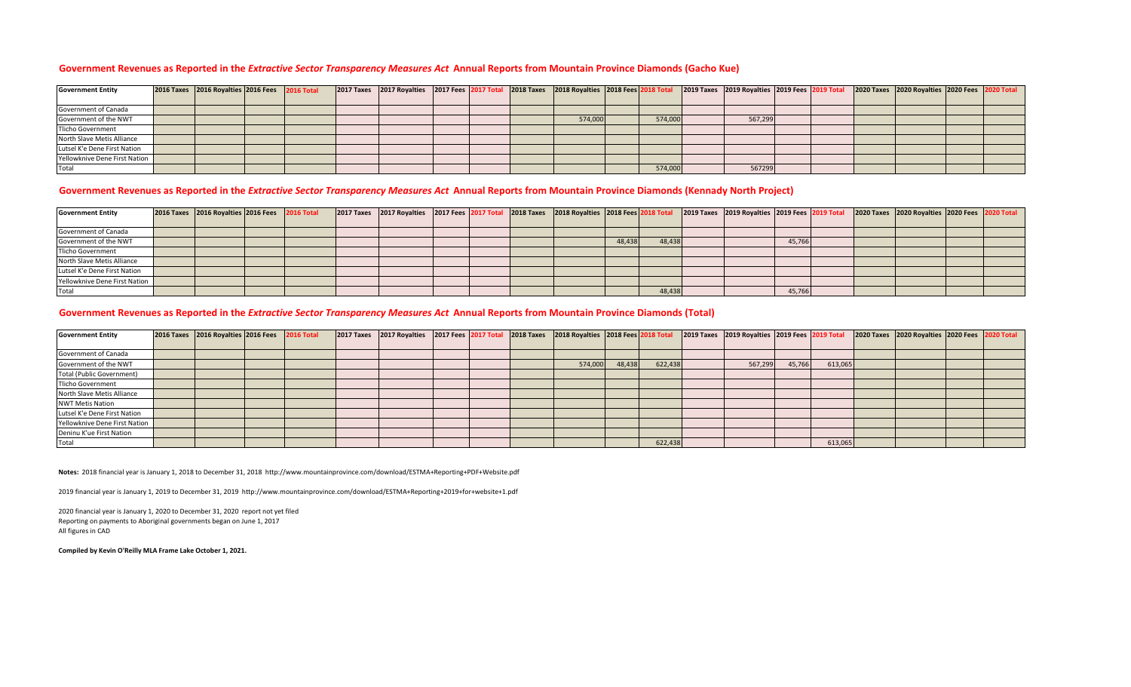## **Government Revenues as Reported in the** *Extractive Sector Transparency Measures Act* **Annual Reports from Mountain Province Diamonds (Gacho Kue)**

| <b>Government Entity</b>      | 2016 Taxes 2016 Royalties 2016 Fees 2016 Total |  | 2017 Taxes 2017 Royalties 2017 Fees 2017 Total 2018 Taxes 2018 Royalties 2018 Fees 2018 Total |  |         |         | 2019 Taxes 2019 Royalties 2019 Fees 2019 Total |  | 2020 Taxes 2020 Royalties 2020 Fees 2020 Total |  |
|-------------------------------|------------------------------------------------|--|-----------------------------------------------------------------------------------------------|--|---------|---------|------------------------------------------------|--|------------------------------------------------|--|
|                               |                                                |  |                                                                                               |  |         |         |                                                |  |                                                |  |
| Government of Canada          |                                                |  |                                                                                               |  |         |         |                                                |  |                                                |  |
| Government of the NWT         |                                                |  |                                                                                               |  | 574,000 | 574,000 | 567,299                                        |  |                                                |  |
| <b>Tlicho Government</b>      |                                                |  |                                                                                               |  |         |         |                                                |  |                                                |  |
| North Slave Metis Alliance    |                                                |  |                                                                                               |  |         |         |                                                |  |                                                |  |
| Lutsel K'e Dene First Nation  |                                                |  |                                                                                               |  |         |         |                                                |  |                                                |  |
| Yellowknive Dene First Nation |                                                |  |                                                                                               |  |         |         |                                                |  |                                                |  |
| Total                         |                                                |  |                                                                                               |  |         | 574,000 | 567299                                         |  |                                                |  |

# **Government Revenues as Reported in the** *Extractive Sector Transparency Measures Act* **Annual Reports from Mountain Province Diamonds (Kennady North Project)**

| <b>Government Entity</b>      | 2016 Taxes 2016 Royalties 2016 Fees 2016 Total |  |  | 2017 Taxes 2017 Royalties 2017 Fees 2017 Total 2018 Taxes 2018 Royalties 2018 Fees 2018 Total |  |        |        | 2019 Taxes 2019 Royalties 2019 Fees 2019 Total |        |  | 2020 Taxes 2020 Royalties 2020 Fees 2020 Total |  |
|-------------------------------|------------------------------------------------|--|--|-----------------------------------------------------------------------------------------------|--|--------|--------|------------------------------------------------|--------|--|------------------------------------------------|--|
|                               |                                                |  |  |                                                                                               |  |        |        |                                                |        |  |                                                |  |
| Government of Canada          |                                                |  |  |                                                                                               |  |        |        |                                                |        |  |                                                |  |
| Government of the NWT         |                                                |  |  |                                                                                               |  | 48,438 | 48,438 |                                                | 45,766 |  |                                                |  |
| Tlicho Government             |                                                |  |  |                                                                                               |  |        |        |                                                |        |  |                                                |  |
| North Slave Metis Alliance    |                                                |  |  |                                                                                               |  |        |        |                                                |        |  |                                                |  |
| Lutsel K'e Dene First Nation  |                                                |  |  |                                                                                               |  |        |        |                                                |        |  |                                                |  |
| Yellowknive Dene First Nation |                                                |  |  |                                                                                               |  |        |        |                                                |        |  |                                                |  |
| Total                         |                                                |  |  |                                                                                               |  |        | 48,438 |                                                | 45,766 |  |                                                |  |

# **Government Revenues as Reported in the** *Extractive Sector Transparency Measures Act* **Annual Reports from Mountain Province Diamonds (Total)**

| <b>Government Entity</b>      | 2016 Taxes 2016 Royalties 2016 Fees 2016 Total |  | 2017 Taxes 2017 Royalties 2017 Fees 2017 Total 2018 Taxes 2018 Royalties 2018 Fees 2018 Total |  |         |        |         | 2019 Taxes 2019 Royalties 2019 Fees 2019 Total |        |         | 2020 Taxes 2020 Royalties 2020 Fees 2020 Total |  |
|-------------------------------|------------------------------------------------|--|-----------------------------------------------------------------------------------------------|--|---------|--------|---------|------------------------------------------------|--------|---------|------------------------------------------------|--|
|                               |                                                |  |                                                                                               |  |         |        |         |                                                |        |         |                                                |  |
| Government of Canada          |                                                |  |                                                                                               |  |         |        |         |                                                |        |         |                                                |  |
| Government of the NWT         |                                                |  |                                                                                               |  | 574,000 | 48,438 | 622,438 | 567,299                                        | 45,766 | 613,065 |                                                |  |
| Total (Public Government)     |                                                |  |                                                                                               |  |         |        |         |                                                |        |         |                                                |  |
| <b>Tlicho Government</b>      |                                                |  |                                                                                               |  |         |        |         |                                                |        |         |                                                |  |
| North Slave Metis Alliance    |                                                |  |                                                                                               |  |         |        |         |                                                |        |         |                                                |  |
| <b>NWT Metis Nation</b>       |                                                |  |                                                                                               |  |         |        |         |                                                |        |         |                                                |  |
| Lutsel K'e Dene First Nation  |                                                |  |                                                                                               |  |         |        |         |                                                |        |         |                                                |  |
| Yellowknive Dene First Nation |                                                |  |                                                                                               |  |         |        |         |                                                |        |         |                                                |  |
| Deninu K'ue First Nation      |                                                |  |                                                                                               |  |         |        |         |                                                |        |         |                                                |  |
| Total                         |                                                |  |                                                                                               |  |         |        | 622,438 |                                                |        | 613,065 |                                                |  |

**Notes:** 2018 financial year is January 1, 2018 to December 31, 2018 http://www.mountainprovince.com/download/ESTMA+Reporting+PDF+Website.pdf

2019 financial year is January 1, 2019 to December 31, 2019 http://www.mountainprovince.com/download/ESTMA+Reporting+2019+for+website+1.pdf

Reporting on payments to Aboriginal governments began on June 1, 2017 All figures in CAD 2020 financial year is January 1, 2020 to December 31, 2020 report not yet filed

**Compiled by Kevin O'Reilly MLA Frame Lake October 1, 2021.**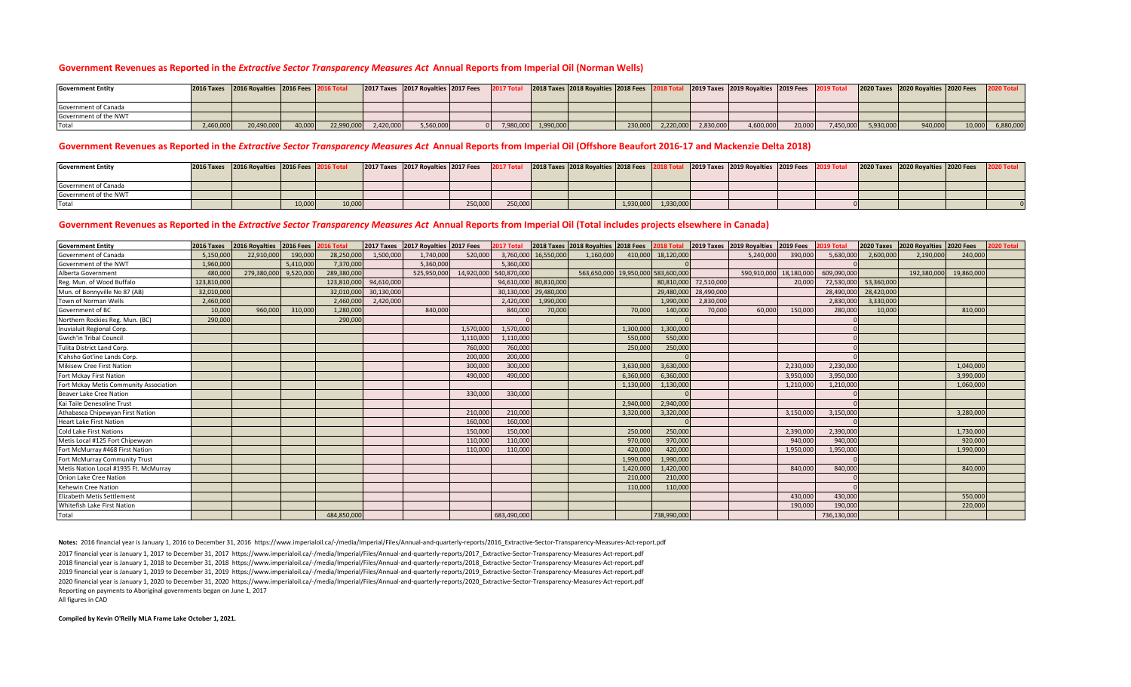#### **Government Revenues as Reported in the** *Extractive Sector Transparency Measures Act* **Annual Reports from Imperial Oil (Norman Wells)**

| <b>Government Entity</b> |          | 2016 Taxes 2016 Royalties 2016 Fees 2016 Total |        |            |           | 2017 Taxes 2017 Royalties 2017 Fees |  |                     | 2018 Taxes 2018 Rovalties 2018 Fees 2 |         |           |           | 2019 Taxes 2019 Royalties 2019 Fees |        |           |           | 2020 Taxes 2020 Royalties 2020 Fees 2020 Total |        |           |
|--------------------------|----------|------------------------------------------------|--------|------------|-----------|-------------------------------------|--|---------------------|---------------------------------------|---------|-----------|-----------|-------------------------------------|--------|-----------|-----------|------------------------------------------------|--------|-----------|
| Government of Canada     |          |                                                |        |            |           |                                     |  |                     |                                       |         |           |           |                                     |        |           |           |                                                |        |           |
| Government of the NWT    |          |                                                |        |            |           |                                     |  |                     |                                       |         |           |           |                                     |        |           |           |                                                |        |           |
| Tota.                    | ,460,000 | 20,490,000                                     | 40,000 | 22,990,000 | 2,420,000 | 5,560,000                           |  | 7,980,000 1,990,000 |                                       | 230,000 | 2,220,000 | 2,830,000 | 4,600,000                           | 20,000 | 7,450,000 | 5,930,000 | 940,000                                        | 10,000 | 6,880,000 |

### **Government Revenues as Reported in the** *Extractive Sector Transparency Measures Act* **Annual Reports from Imperial Oil (Offshore Beaufort 2016-17 and Mackenzie Delta 2018)**

| <b>Government Entity</b> | 2016 Taxes 2016 Royalties 2016 Fees 2016 Total |        |        | [2017 Taxes   2017 Royalties   2017 Fees   2017 Total   2018 Taxes   2018 Royalties   2018 Fees   201 |         |         |  |                     | 2019 Taxes 2019 Royalties 2019 Fees 2019 Total |  | 2020 Taxes 2020 Royalties 2020 Fees |  |
|--------------------------|------------------------------------------------|--------|--------|-------------------------------------------------------------------------------------------------------|---------|---------|--|---------------------|------------------------------------------------|--|-------------------------------------|--|
| Government of Canada     |                                                |        |        |                                                                                                       |         |         |  |                     |                                                |  |                                     |  |
| Government of the NWT    |                                                |        |        |                                                                                                       |         |         |  |                     |                                                |  |                                     |  |
| Tota                     |                                                | 10,000 | 10,000 |                                                                                                       | 250,000 | 250,000 |  | 1,930,000 1,930,000 |                                                |  |                                     |  |

### **Government Revenues as Reported in the** *Extractive Sector Transparency Measures Act* **Annual Reports from Imperial Oil (Total includes projects elsewhere in Canada)**

| <b>Government Entity</b>               | 2016 Taxes  | 2016 Royalties 2016 Fees |           | 2016 Total  | 2017 Taxes | 2017 Royalties 2017 Fees |           | 2017 Total             |                       | 2018 Taxes 2018 Royalties 2018 Fees 2018 Total |           |                    |            | 2019 Taxes 2019 Royalties 2019 Fees |           | 2019 Total  | <b>2020 Taxes</b> | 2020 Royalties 2020 Fees |            | 2020 Total |
|----------------------------------------|-------------|--------------------------|-----------|-------------|------------|--------------------------|-----------|------------------------|-----------------------|------------------------------------------------|-----------|--------------------|------------|-------------------------------------|-----------|-------------|-------------------|--------------------------|------------|------------|
| Government of Canada                   | 5,150,00    | 22,910,000               | 190,000   | 28,250,000  | 1,500,000  | 1.740.000                | 520,000   |                        | 3,760,000 16,550,000  | 1.160.000                                      |           | 410,000 18,120,000 |            | 5.240.000                           | 390,000   | 5,630,00    | 2,600,000         | 2.190.000                | 240,000    |            |
| Government of the NWT                  | 1,960,000   |                          | 5,410,000 | 7,370,000   |            | 5,360,000                |           | 5,360,000              |                       |                                                |           |                    |            |                                     |           |             |                   |                          |            |            |
| Alberta Government                     | 480,00      | 279,380,000 9,520,000    |           | 289,380,000 |            | 525,950,000              |           | 14,920,000 540,870,000 |                       | 563,650,000 19,950,000 583,600,00              |           |                    |            | 590,910,000                         | 18,180,00 | 609,090,000 |                   | 192,380,000              | 19,860,000 |            |
| Reg. Mun. of Wood Buffalo              | 123,810,000 |                          |           | 123,810,000 | 94,610,000 |                          |           |                        | 94,610,000 80,810,000 |                                                |           | 80,810,00          | 72,510,000 |                                     | 20,000    | 72,530,00   | 53,360,000        |                          |            |            |
| Mun. of Bonnyville No 87 (AB)          | 32,010,00   |                          |           | 32,010,00   | 30,130,000 |                          |           |                        | 30,130,000 29,480,000 |                                                |           | 29,480,00          | 28,490,000 |                                     |           | 28,490,00   | 28,420,000        |                          |            |            |
| Town of Norman Wells                   | 2,460,00    |                          |           | 2,460,00    | 2,420,000  |                          |           | 2,420,000              | 1,990,000             |                                                |           | 1,990,00           | 2,830,000  |                                     |           | 2,830,00    | 3,330,000         |                          |            |            |
| Government of BC                       | 10,000      | 960,000                  | 310,000   | 1.280.000   |            | 840,000                  |           | 840,000                | 70,000                |                                                | 70,000    | 140,00             | 70,000     | 60,000                              | 150,000   | 280.00      | 10.00             |                          | 810,000    |            |
| Northern Rockies Reg. Mun. (BC)        | 290,000     |                          |           | 290,000     |            |                          |           |                        |                       |                                                |           |                    |            |                                     |           |             |                   |                          |            |            |
| Inuvialuit Regional Corp               |             |                          |           |             |            |                          | 1,570,000 | 1,570,000              |                       |                                                | 1,300,000 | 1,300,00           |            |                                     |           |             |                   |                          |            |            |
| <b>Gwich'in Tribal Council</b>         |             |                          |           |             |            |                          | 1,110,000 | 1,110,000              |                       |                                                | 550,000   | 550,000            |            |                                     |           |             |                   |                          |            |            |
| Tulita District Land Corp.             |             |                          |           |             |            |                          | 760,000   | 760,000                |                       |                                                | 250,000   | 250,00             |            |                                     |           |             |                   |                          |            |            |
| K'ahsho Got'ine Lands Corp             |             |                          |           |             |            |                          | 200,000   | 200,000                |                       |                                                |           |                    |            |                                     |           |             |                   |                          |            |            |
| Mikisew Cree First Nation              |             |                          |           |             |            |                          | 300,000   | 300,000                |                       |                                                | 3,630,000 | 3,630,000          |            |                                     | 2,230,000 | 2,230,000   |                   |                          | 1,040,000  |            |
| Fort Mckay First Nation                |             |                          |           |             |            |                          | 490,000   | 490,000                |                       |                                                | 6,360,000 | 6,360,000          |            |                                     | 3,950,000 | 3,950,000   |                   |                          | 3,990,000  |            |
| Fort Mckay Metis Community Association |             |                          |           |             |            |                          |           |                        |                       |                                                | 1,130,000 | 1,130,00           |            |                                     | 1,210,000 | 1,210,000   |                   |                          | 1,060,000  |            |
| Beaver Lake Cree Nation                |             |                          |           |             |            |                          | 330,000   | 330,000                |                       |                                                |           |                    |            |                                     |           |             |                   |                          |            |            |
| Kai Taile Denesoline Trust             |             |                          |           |             |            |                          |           |                        |                       |                                                | 2.940.000 | 2,940,00           |            |                                     |           |             |                   |                          |            |            |
| Athabasca Chipewyan First Nation       |             |                          |           |             |            |                          | 210,000   | 210,000                |                       |                                                | 3,320,000 | 3,320,00           |            |                                     | 3,150,000 | 3,150,00    |                   |                          | 3,280,000  |            |
| <b>Heart Lake First Nation</b>         |             |                          |           |             |            |                          | 160,000   | 160,000                |                       |                                                |           |                    |            |                                     |           |             |                   |                          |            |            |
| <b>Cold Lake First Nations</b>         |             |                          |           |             |            |                          | 150,000   | 150,000                |                       |                                                | 250,000   | 250,00             |            |                                     | 2.390.000 | 2,390,00    |                   |                          | 1.730.000  |            |
| Metis Local #125 Fort Chipewyan        |             |                          |           |             |            |                          | 110,000   | 110,000                |                       |                                                | 970,000   | 970,00             |            |                                     | 940,000   | 940,00      |                   |                          | 920,000    |            |
| Fort McMurray #468 First Nation        |             |                          |           |             |            |                          | 110,000   | 110,000                |                       |                                                | 420,000   | 420,00             |            |                                     | 1,950,000 | 1,950,00    |                   |                          | 1,990,000  |            |
| Fort McMurray Community Trust          |             |                          |           |             |            |                          |           |                        |                       |                                                | 1,990,000 | 1,990,00           |            |                                     |           |             |                   |                          |            |            |
| Metis Nation Local #1935 Ft. McMurray  |             |                          |           |             |            |                          |           |                        |                       |                                                | 1,420,000 | 1,420,00           |            |                                     | 840,000   | 840,00      |                   |                          | 840,000    |            |
| Onion Lake Cree Nation                 |             |                          |           |             |            |                          |           |                        |                       |                                                | 210,000   | 210,000            |            |                                     |           |             |                   |                          |            |            |
| Kehewin Cree Nation                    |             |                          |           |             |            |                          |           |                        |                       |                                                | 110,000   | 110,00             |            |                                     |           |             |                   |                          |            |            |
| Elizabeth Metis Settlement             |             |                          |           |             |            |                          |           |                        |                       |                                                |           |                    |            |                                     | 430,000   | 430,000     |                   |                          | 550,000    |            |
| Whitefish Lake First Nation            |             |                          |           |             |            |                          |           |                        |                       |                                                |           |                    |            |                                     | 190,000   | 190,000     |                   |                          | 220,000    |            |
| Total                                  |             |                          |           | 484,850,000 |            |                          |           | 683,490,000            |                       |                                                |           | 738,990,000        |            |                                     |           | 736,130,000 |                   |                          |            |            |

**Notes:** 2016 financial year is January 1, 2016 to December 31, 2016 https://www.imperialoil.ca/-/media/Imperial/Files/Annual-and-quarterly-reports/2016\_Extractive-Sector-Transparency-Measures-Act-report.pdf

2018 financial year is January 1, 2018 to December 31, 2018 https://www.imperialoil.ca/-/media/Imperial/Files/Annual-and-quarterly-reports/2018\_Extractive-Sector-Transparency-Measures-Act-report.pdf 2019 financial year is January 1, 2019 to December 31, 2019 https://www.imperialoil.ca/-/media/Imperial/Files/Annual-and-quarterly-reports/2019\_Extractive-Sector-Transparency-Measures-Act-report.pdf Reporting on payments to Aboriginal governments began on June 1, 2017 2020 financial year is January 1, 2020 to December 31, 2020 https://www.imperialoil.ca/-/media/Imperial/Files/Annual-and-quarterly-reports/2020\_Extractive-Sector-Transparency-Measures-Act-report.pdf 2017 financial year is January 1, 2017 to December 31, 2017 https://www.imperialoil.ca/-/media/Imperial/Files/Annual-and-quarterly-reports/2017\_Extractive-Sector-Transparency-Measures-Act-report.pdf

All figures in CAD

**Compiled by Kevin O'Reilly MLA Frame Lake October 1, 2021.**